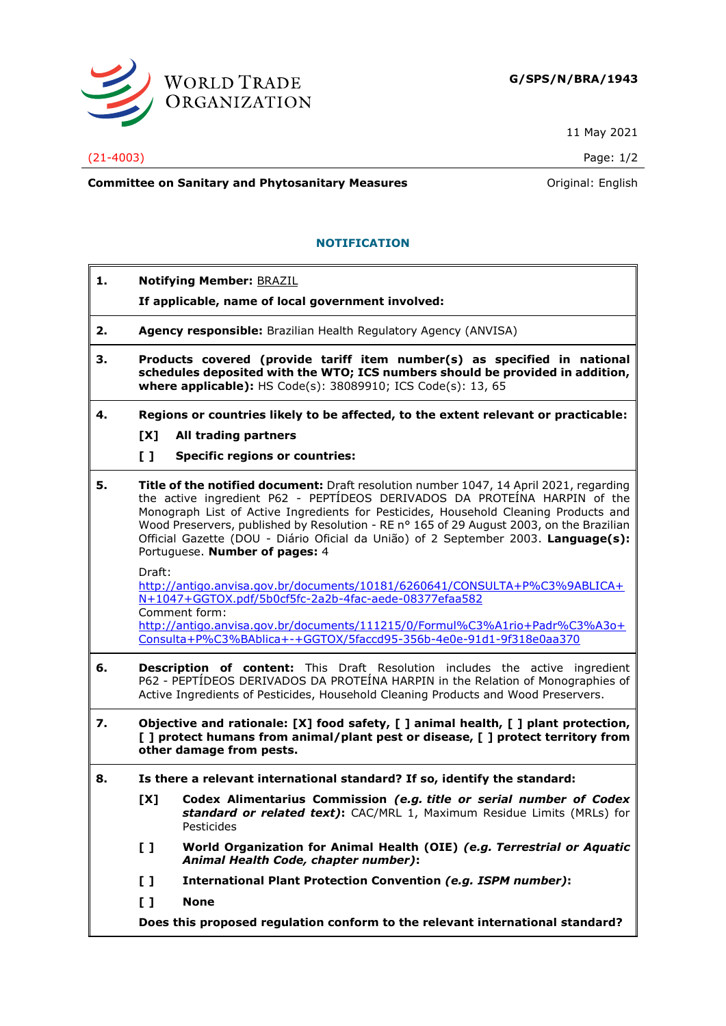

11 May 2021

(21-4003) Page: 1/2

**Committee on Sanitary and Phytosanitary Measures Committee on Sanitary and Phytosanitary Measures Committee And American** 

## **NOTIFICATION**

- **1. Notifying Member:** BRAZIL
	- **If applicable, name of local government involved:**
- **2. Agency responsible:** Brazilian Health Regulatory Agency (ANVISA)
- **3. Products covered (provide tariff item number(s) as specified in national schedules deposited with the WTO; ICS numbers should be provided in addition, where applicable):** HS Code(s): 38089910; ICS Code(s): 13, 65
- **4. Regions or countries likely to be affected, to the extent relevant or practicable:**
	- **[X] All trading partners**
	- **[ ] Specific regions or countries:**
- **5. Title of the notified document:** Draft resolution number 1047, 14 April 2021, regarding the active ingredient P62 - PEPTÍDEOS DERIVADOS DA PROTEÍNA HARPIN of the Monograph List of Active Ingredients for Pesticides, Household Cleaning Products and Wood Preservers, published by Resolution - RE nº 165 of 29 August 2003, on the Brazilian Official Gazette (DOU - Diário Oficial da União) of 2 September 2003. **Language(s):** Portuguese. **Number of pages:** 4

Draft:

[http://antigo.anvisa.gov.br/documents/10181/6260641/CONSULTA+P%C3%9ABLICA+](http://antigo.anvisa.gov.br/documents/10181/6260641/CONSULTA+P%C3%9ABLICA+N+1047+GGTOX.pdf/5b0cf5fc-2a2b-4fac-aede-08377efaa582) [N+1047+GGTOX.pdf/5b0cf5fc-2a2b-4fac-aede-08377efaa582](http://antigo.anvisa.gov.br/documents/10181/6260641/CONSULTA+P%C3%9ABLICA+N+1047+GGTOX.pdf/5b0cf5fc-2a2b-4fac-aede-08377efaa582) Comment form:

[http://antigo.anvisa.gov.br/documents/111215/0/Formul%C3%A1rio+Padr%C3%A3o+](http://antigo.anvisa.gov.br/documents/111215/0/Formul%C3%A1rio+Padr%C3%A3o+Consulta+P%C3%BAblica+-+GGTOX/5faccd95-356b-4e0e-91d1-9f318e0aa370) [Consulta+P%C3%BAblica+-+GGTOX/5faccd95-356b-4e0e-91d1-9f318e0aa370](http://antigo.anvisa.gov.br/documents/111215/0/Formul%C3%A1rio+Padr%C3%A3o+Consulta+P%C3%BAblica+-+GGTOX/5faccd95-356b-4e0e-91d1-9f318e0aa370)

- **6. Description of content:** This Draft Resolution includes the active ingredient P62 - PEPTÍDEOS DERIVADOS DA PROTEÍNA HARPIN in the Relation of Monographies of Active Ingredients of Pesticides, Household Cleaning Products and Wood Preservers.
- **7. Objective and rationale: [X] food safety, [ ] animal health, [ ] plant protection, [ ] protect humans from animal/plant pest or disease, [ ] protect territory from other damage from pests.**
- **8. Is there a relevant international standard? If so, identify the standard:**
	- **[X] Codex Alimentarius Commission** *(e.g. title or serial number of Codex standard or related text)***:** CAC/MRL 1, Maximum Residue Limits (MRLs) for Pesticides
	- **[ ] World Organization for Animal Health (OIE)** *(e.g. Terrestrial or Aquatic Animal Health Code, chapter number)***:**
	- **[ ] International Plant Protection Convention** *(e.g. ISPM number)***:**
	- **[ ] None**

**Does this proposed regulation conform to the relevant international standard?**